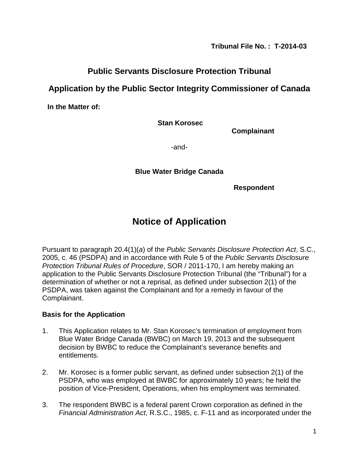**Tribunal File No. : T-2014-03** 

## **Public Servants Disclosure Protection Tribunal**

## **Application by the Public Sector Integrity Commissioner of Canada**

**In the Matter of:**

**Stan Korosec**

**Complainant**

-and-

### **Blue Water Bridge Canada**

**Respondent**

# **Notice of Application**

Pursuant to paragraph 20.4(1)(*a*) of the *Public Servants Disclosure Protection Act*, S.C., 2005, c. 46 (PSDPA) and in accordance with Rule 5 of the *Public Servants Disclosure Protection Tribunal Rules of Procedure*, SOR / 2011-170, I am hereby making an application to the Public Servants Disclosure Protection Tribunal (the "Tribunal") for a determination of whether or not a reprisal, as defined under subsection 2(1) of the PSDPA, was taken against the Complainant and for a remedy in favour of the Complainant.

#### **Basis for the Application**

- 1. This Application relates to Mr. Stan Korosec's termination of employment from Blue Water Bridge Canada (BWBC) on March 19, 2013 and the subsequent decision by BWBC to reduce the Complainant's severance benefits and entitlements.
- 2. Mr. Korosec is a former public servant, as defined under subsection 2(1) of the PSDPA, who was employed at BWBC for approximately 10 years; he held the position of Vice-President, Operations, when his employment was terminated.
- 3. The respondent BWBC is a federal parent Crown corporation as defined in the *Financial Administration Act*, R.S.C., 1985, c. F-11 and as incorporated under the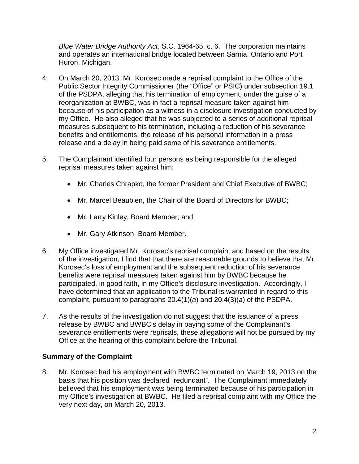*Blue Water Bridge Authority Act*, S.C. 1964-65, c. 6. The corporation maintains and operates an international bridge located between Sarnia, Ontario and Port Huron, Michigan.

- 4. On March 20, 2013, Mr. Korosec made a reprisal complaint to the Office of the Public Sector Integrity Commissioner (the "Office" or PSIC) under subsection 19.1 of the PSDPA, alleging that his termination of employment, under the guise of a reorganization at BWBC, was in fact a reprisal measure taken against him because of his participation as a witness in a disclosure investigation conducted by my Office. He also alleged that he was subjected to a series of additional reprisal measures subsequent to his termination, including a reduction of his severance benefits and entitlements, the release of his personal information in a press release and a delay in being paid some of his severance entitlements.
- 5. The Complainant identified four persons as being responsible for the alleged reprisal measures taken against him:
	- Mr. Charles Chrapko, the former President and Chief Executive of BWBC;
	- Mr. Marcel Beaubien, the Chair of the Board of Directors for BWBC;
	- Mr. Larry Kinley, Board Member; and
	- Mr. Gary Atkinson, Board Member.
- 6. My Office investigated Mr. Korosec's reprisal complaint and based on the results of the investigation, I find that that there are reasonable grounds to believe that Mr. Korosec's loss of employment and the subsequent reduction of his severance benefits were reprisal measures taken against him by BWBC because he participated, in good faith, in my Office's disclosure investigation. Accordingly, I have determined that an application to the Tribunal is warranted in regard to this complaint, pursuant to paragraphs 20.4(1)(*a*) and 20.4(3)(*a*) of the PSDPA.
- 7. As the results of the investigation do not suggest that the issuance of a press release by BWBC and BWBC's delay in paying some of the Complainant's severance entitlements were reprisals, these allegations will not be pursued by my Office at the hearing of this complaint before the Tribunal.

### **Summary of the Complaint**

8. Mr. Korosec had his employment with BWBC terminated on March 19, 2013 on the basis that his position was declared "redundant". The Complainant immediately believed that his employment was being terminated because of his participation in my Office's investigation at BWBC. He filed a reprisal complaint with my Office the very next day, on March 20, 2013.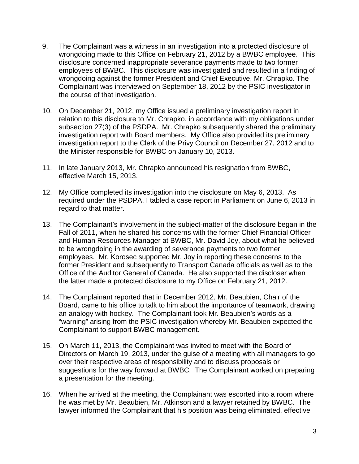- 9. The Complainant was a witness in an investigation into a protected disclosure of wrongdoing made to this Office on February 21, 2012 by a BWBC employee. This disclosure concerned inappropriate severance payments made to two former employees of BWBC. This disclosure was investigated and resulted in a finding of wrongdoing against the former President and Chief Executive, Mr. Chrapko. The Complainant was interviewed on September 18, 2012 by the PSIC investigator in the course of that investigation.
- 10. On December 21, 2012, my Office issued a preliminary investigation report in relation to this disclosure to Mr. Chrapko, in accordance with my obligations under subsection 27(3) of the PSDPA. Mr. Chrapko subsequently shared the preliminary investigation report with Board members. My Office also provided its preliminary investigation report to the Clerk of the Privy Council on December 27, 2012 and to the Minister responsible for BWBC on January 10, 2013.
- 11. In late January 2013, Mr. Chrapko announced his resignation from BWBC, effective March 15, 2013.
- 12. My Office completed its investigation into the disclosure on May 6, 2013. As required under the PSDPA, I tabled a case report in Parliament on June 6, 2013 in regard to that matter.
- 13. The Complainant's involvement in the subject-matter of the disclosure began in the Fall of 2011, when he shared his concerns with the former Chief Financial Officer and Human Resources Manager at BWBC, Mr. David Joy, about what he believed to be wrongdoing in the awarding of severance payments to two former employees. Mr. Korosec supported Mr. Joy in reporting these concerns to the former President and subsequently to Transport Canada officials as well as to the Office of the Auditor General of Canada. He also supported the discloser when the latter made a protected disclosure to my Office on February 21, 2012.
- 14. The Complainant reported that in December 2012, Mr. Beaubien, Chair of the Board, came to his office to talk to him about the importance of teamwork, drawing an analogy with hockey. The Complainant took Mr. Beaubien's words as a "warning" arising from the PSIC investigation whereby Mr. Beaubien expected the Complainant to support BWBC management.
- 15. On March 11, 2013, the Complainant was invited to meet with the Board of Directors on March 19, 2013, under the guise of a meeting with all managers to go over their respective areas of responsibility and to discuss proposals or suggestions for the way forward at BWBC. The Complainant worked on preparing a presentation for the meeting.
- 16. When he arrived at the meeting, the Complainant was escorted into a room where he was met by Mr. Beaubien, Mr. Atkinson and a lawyer retained by BWBC. The lawyer informed the Complainant that his position was being eliminated, effective